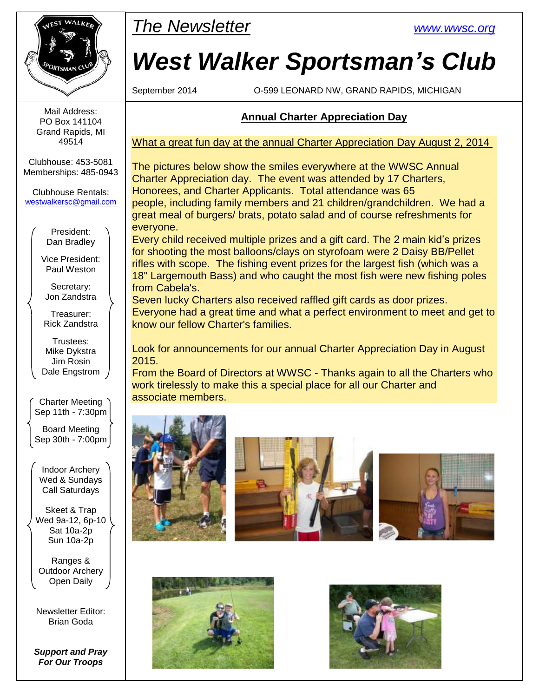

Mail Address: PO Box 141104 Grand Rapids, MI 49514

Clubhouse: 453-5081 Memberships: 485-0943

Clubhouse Rentals: [westwalkersc@gmail.com](mailto:westwalkersc@gmail.com)

> President: Dan Bradley

Vice President: Paul Weston

Secretary: Jon Zandstra

Treasurer: Rick Zandstra

Trustees: Mike Dykstra Jim Rosin Dale Engstrom

Charter Meeting Sep 11th - 7:30pm

Board Meeting Sep 30th - 7:00pm

Indoor Archery Wed & Sundays Call Saturdays

Skeet & Trap Wed 9a-12, 6p-10 Sat 10a-2p Sun 10a-2p

Ranges & Outdoor Archery Open Daily

Newsletter Editor: Brian Goda

*Support and Pray For Our Troops*



# *West Walker Sportsman's Club*

September 2014 O-599 LEONARD NW, GRAND RAPIDS, MICHIGAN

### **Annual Charter Appreciation Day**

What a great fun day at the annual Charter Appreciation Day August 2, 2014

The pictures below show the smiles everywhere at the WWSC Annual Charter Appreciation day. The event was attended by 17 Charters, Honorees, and Charter Applicants. Total attendance was 65 people, including family members and 21 children/grandchildren. We had a great meal of burgers/ brats, potato salad and of course refreshments for everyone.

Every child received multiple prizes and a gift card. The 2 main kid's prizes for shooting the most balloons/clays on styrofoam were 2 Daisy BB/Pellet rifles with scope. The fishing event prizes for the largest fish (which was a 18" Largemouth Bass) and who caught the most fish were new fishing poles from Cabela's.

Seven lucky Charters also received raffled gift cards as door prizes. Everyone had a great time and what a perfect environment to meet and get to know our fellow Charter's families.

Look for announcements for our annual Charter Appreciation Day in August 2015.

From the Board of Directors at WWSC - Thanks again to all the Charters who work tirelessly to make this a special place for all our Charter and associate members.









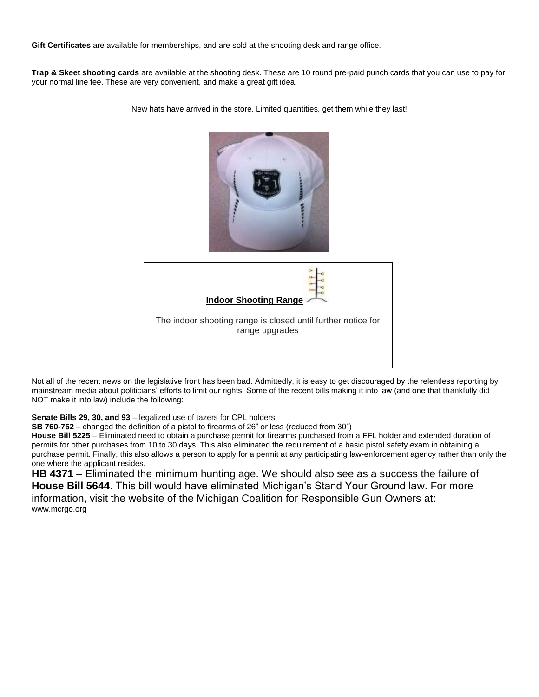**Gift Certificates** are available for memberships, and are sold at the shooting desk and range office.

**Trap & Skeet shooting cards** are available at the shooting desk. These are 10 round pre-paid punch cards that you can use to pay for your normal line fee. These are very convenient, and make a great gift idea.

> **Indoor Shooting Range** The indoor shooting range is closed until further notice for range upgrades

New hats have arrived in the store. Limited quantities, get them while they last!

Not all of the recent news on the legislative front has been bad. Admittedly, it is easy to get discouraged by the relentless reporting by mainstream media about politicians' efforts to limit our rights. Some of the recent bills making it into law (and one that thankfully did NOT make it into law) include the following:

**Senate Bills 29, 30, and 93** – legalized use of tazers for CPL holders

**SB 760-762** – changed the definition of a pistol to firearms of 26" or less (reduced from 30")

**House Bill 5225** – Eliminated need to obtain a purchase permit for firearms purchased from a FFL holder and extended duration of permits for other purchases from 10 to 30 days. This also eliminated the requirement of a basic pistol safety exam in obtaining a purchase permit. Finally, this also allows a person to apply for a permit at any participating law-enforcement agency rather than only the one where the applicant resides.

**HB 4371** – Eliminated the minimum hunting age. We should also see as a success the failure of **House Bill 5644**. This bill would have eliminated Michigan's Stand Your Ground law. For more information, visit the website of the Michigan Coalition for Responsible Gun Owners at: www.mcrgo.org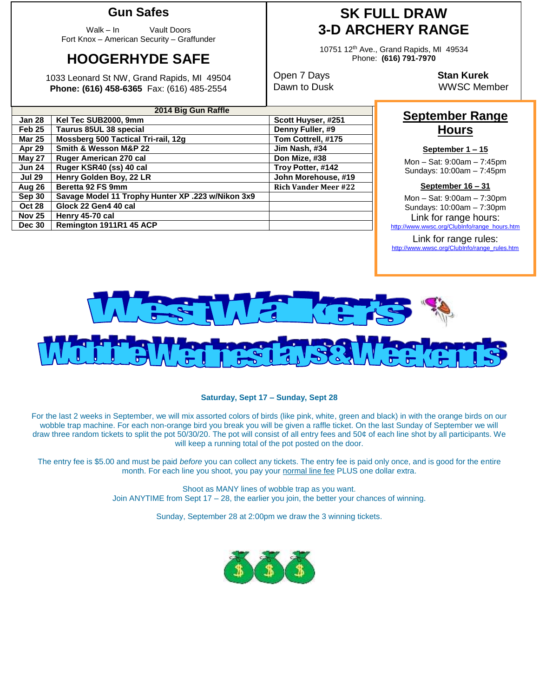### **Gun Safes**

Walk – In Vault Doors Fort Knox – American Security – Graffunder

# **HOOGERHYDE SAFE**

1033 Leonard St NW, Grand Rapids, MI 49504 **Phone: (616) 458-6365** Fax: (616) 485-2554

**Sep 30 Savage Model 11 Trophy Hunter XP .223 w/Nikon 3x9**

**Jun 24 | Ruger KSR40 (ss) 40 cal** 

**Oct 28 Glock 22 Gen4 40 cal Nov 25 Henry 45-70 cal**

**Dec 30 Remington 1911R1 45 ACP**

**2014 Big Gun Raffle Jan 28 Kel Tec SUB2000, 9mm Scott Huyser, #251 Feb 25 Taurus 85UL 38 special Denny Fuller, #9 Mar 25 Mossberg 500 Tactical Tri-rail, 12g Tom Cottrell, #175 Apr 29 Smith & Wesson M&P 22 Jim Nash, #34 May 27 Ruger American 270 cal Don Mize, #38**

**Jul 29 Henry Golden Boy, 22 LR John Morehouse, #19 Aug 26 Beretta 92 FS 9mm Rich Vander Meer #22**

# **SK FULL DRAW 3-D ARCHERY RANGE**

10751 12th Ave., Grand Rapids, MI 49534 Phone: **(616) 791-7970**

Open 7 Days **Stan Kurek**

Dawn to Dusk WWSC Member

## **September Range Hours**

### **September 1 – 15**

Mon – Sat: 9:00am – 7:45pm Sundays: 10:00am – 7:45pm

#### **September 16 – 31**

Mon – Sat: 9:00am – 7:30pm Sundays: 10:00am – 7:30pm Link for range hours:<br>http://www.wwsc.org/ClubInfo/range hou

c.org/ClubInfo/range\_hours.htm Link for range rules:

[http://www.wwsc.org/ClubInfo/range\\_rules.htm](http://www.wwsc.org/ClubInfo/range_rules.htm)



#### **Saturday, Sept 17 – Sunday, Sept 28**

For the last 2 weeks in September, we will mix assorted colors of birds (like pink, white, green and black) in with the orange birds on our wobble trap machine. For each non-orange bird you break you will be given a raffle ticket. On the last Sunday of September we will draw three random tickets to split the pot 50/30/20. The pot will consist of all entry fees and 50¢ of each line shot by all participants. We will keep a running total of the pot posted on the door.

The entry fee is \$5.00 and must be paid *before* you can collect any tickets. The entry fee is paid only once, and is good for the entire month. For each line you shoot, you pay your normal line fee PLUS one dollar extra.

> Shoot as MANY lines of wobble trap as you want. Join ANYTIME from Sept 17 – 28, the earlier you join, the better your chances of winning.

> > Sunday, September 28 at 2:00pm we draw the 3 winning tickets.